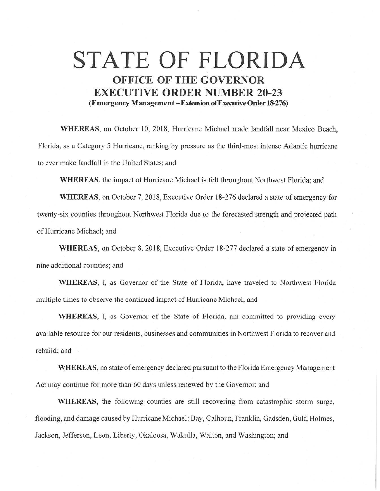## **STATE OF FLORIDA OFFICE OF THE GOVERNOR EXECUTIVE ORDER NUMBER 20-23 (Emergency Management-Extension ofExecutiveOrder 18-276)**

WHEREAS, on October 10, 2018, Hurricane Michael made landfall near Mexico Beach, Florida, as a Category 5 Hurricane, ranking by pressure as the third-most intense Atlantic hurricane to ever make landfall in the United States; and

**WHEREAS,** the impact of Hurricane Michael is felt throughout Northwest Florida; and

**WHEREAS,** on October 7, 2018, Executive Order 18-276 declared a state of emergency for twenty-six counties throughout Northwest Florida due to the forecasted strength and projected path of Hurricane Michael; and

**WHEREAS,** on October 8, 2018, Executive Order 18-277 declared a state of emergency in nine additional counties; and

**WHEREAS,** I, as Governor of the State of Florida, have traveled to Northwest Florida multiple times to observe the continued impact of Hurricane Michael; and

**WHEREAS,** I, as Governor of the State of Florida, am committed to providing every available resource for our residents, businesses and communities in Northwest Florida to recover and rebuild; and

**WHEREAS,** no state of emergency declared pursuant to the Florida Emergency Management Act may continue for more than 60 days unless renewed by the Governor; and

**WHEREAS,** the following counties are still recovering from catastrophic storm surge, flooding, and damage caused by Hurricane Michael: Bay, Calhoun, Franklin, Gadsden, Gulf, Holmes, Jackson, Jefferson, Leon, Liberty, Okaloosa, Wakulla, Walton, and Washington; and